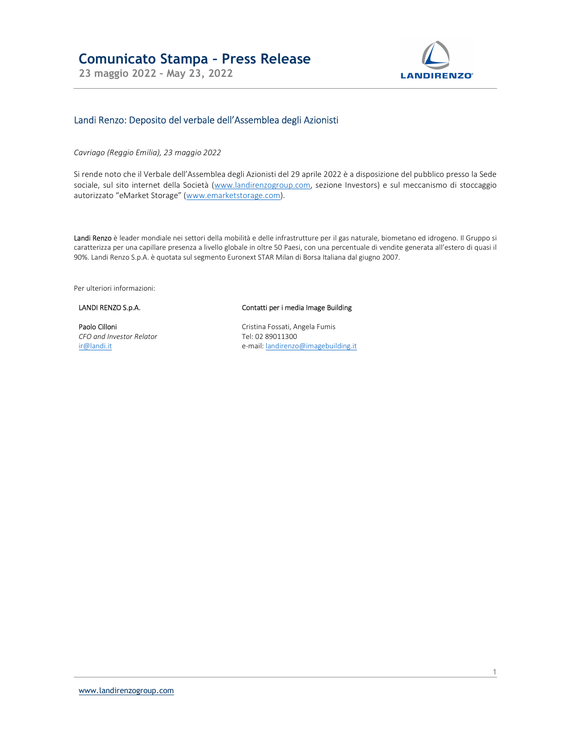23 maggio 2022 – May 23, 2022



# Landi Renzo: Deposito del verbale dell'Assemblea degli Azionisti

Cavriago (Reggio Emilia), 23 maggio 2022

Si rende noto che il Verbale dell'Assemblea degli Azionisti del 29 aprile 2022 è a disposizione del pubblico presso la Sede sociale, sul sito internet della Società (www.landirenzogroup.com, sezione Investors) e sul meccanismo di stoccaggio autorizzato "eMarket Storage" (www.emarketstorage.com).

Landi Renzo è leader mondiale nei settori della mobilità e delle infrastrutture per il gas naturale, biometano ed idrogeno. Il Gruppo si caratterizza per una capillare presenza a livello globale in oltre 50 Paesi, con una percentuale di vendite generata all'estero di quasi il 90%. Landi Renzo S.p.A. è quotata sul segmento Euronext STAR Milan di Borsa Italiana dal giugno 2007.

Per ulteriori informazioni:

### LANDI RENZO S.p.A.

#### Paolo Cilloni CFO and Investor Relator ir@landi.it

#### Contatti per i media Image Building

Cristina Fossati, Angela Fumis Tel: 02 89011300 e-mail: landirenzo@imagebuilding.it